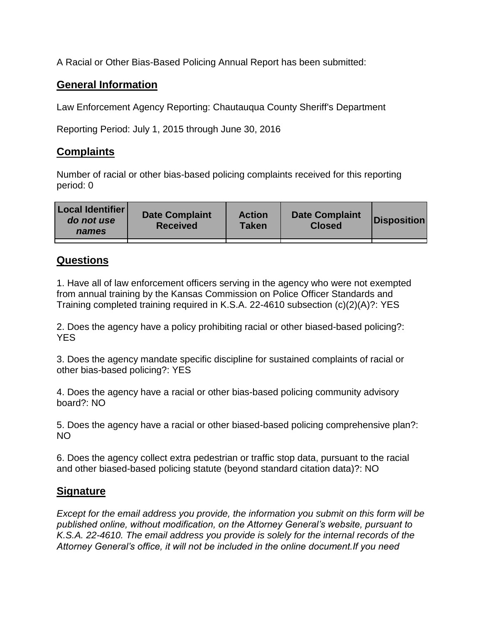A Racial or Other Bias-Based Policing Annual Report has been submitted:

## **General Information**

Law Enforcement Agency Reporting: Chautauqua County Sheriff's Department

Reporting Period: July 1, 2015 through June 30, 2016

## **Complaints**

Number of racial or other bias-based policing complaints received for this reporting period: 0

| <b>Local Identifier</b><br>do not use<br>names | <b>Date Complaint</b><br><b>Received</b> | <b>Action</b><br><b>Taken</b> | <b>Date Complaint</b><br><b>Closed</b> | Disposition |
|------------------------------------------------|------------------------------------------|-------------------------------|----------------------------------------|-------------|
|                                                |                                          |                               |                                        |             |

## **Questions**

1. Have all of law enforcement officers serving in the agency who were not exempted from annual training by the Kansas Commission on Police Officer Standards and Training completed training required in K.S.A. 22-4610 subsection (c)(2)(A)?: YES

2. Does the agency have a policy prohibiting racial or other biased-based policing?: YES

3. Does the agency mandate specific discipline for sustained complaints of racial or other bias-based policing?: YES

4. Does the agency have a racial or other bias-based policing community advisory board?: NO

5. Does the agency have a racial or other biased-based policing comprehensive plan?: NO

6. Does the agency collect extra pedestrian or traffic stop data, pursuant to the racial and other biased-based policing statute (beyond standard citation data)?: NO

## **Signature**

*Except for the email address you provide, the information you submit on this form will be published online, without modification, on the Attorney General's website, pursuant to K.S.A. 22-4610. The email address you provide is solely for the internal records of the Attorney General's office, it will not be included in the online document.If you need*